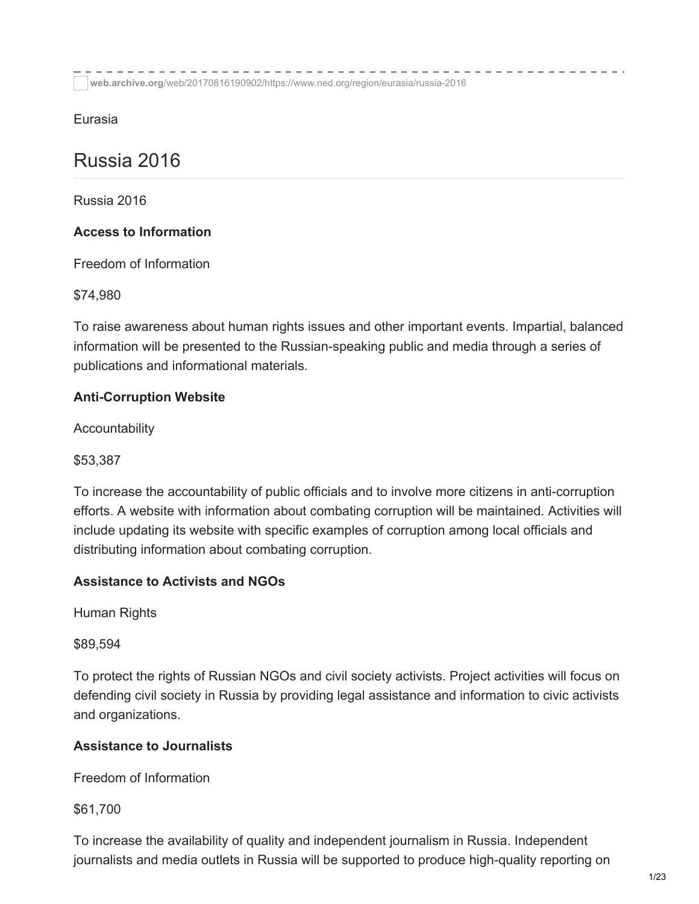**web.archive.org**[/web/20170816190902/https://www.ned.org/region/eurasia/russia-2016](https://web.archive.org/web/20170816190902/https://www.ned.org/region/eurasia/russia-2016/)

Eurasia

# Russia 2016

Russia 2016

# **Access to Information**

Freedom of Information

\$74,980

To raise awareness about human rights issues and other important events. Impartial, balanced information will be presented to the Russian-speaking public and media through a series of publications and informational materials.

# **Anti-Corruption Website**

Accountability

\$53,387

To increase the accountability of public officials and to involve more citizens in anti-corruption efforts. A website with information about combating corruption will be maintained. Activities will include updating its website with specific examples of corruption among local officials and distributing information about combating corruption.

# **Assistance to Activists and NGOs**

Human Rights

\$89,594

To protect the rights of Russian NGOs and civil society activists. Project activities will focus on defending civil society in Russia by providing legal assistance and information to civic activists and organizations.

## **Assistance to Journalists**

Freedom of Information

\$61,700

To increase the availability of quality and independent journalism in Russia. Independent journalists and media outlets in Russia will be supported to produce high-quality reporting on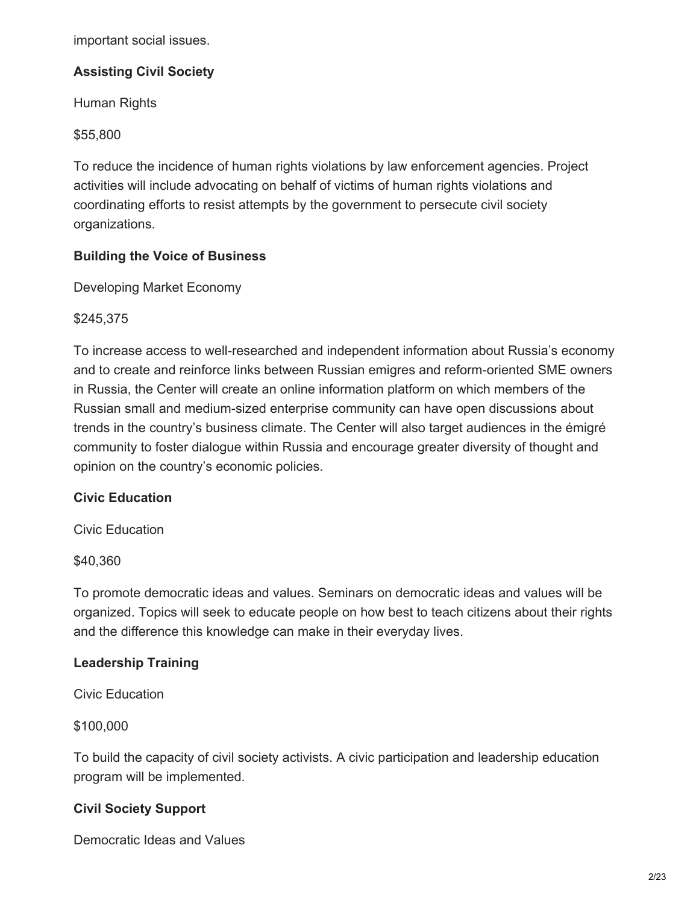important social issues.

## **Assisting Civil Society**

Human Rights

\$55,800

To reduce the incidence of human rights violations by law enforcement agencies. Project activities will include advocating on behalf of victims of human rights violations and coordinating efforts to resist attempts by the government to persecute civil society organizations.

## **Building the Voice of Business**

Developing Market Economy

\$245,375

To increase access to well-researched and independent information about Russia's economy and to create and reinforce links between Russian emigres and reform-oriented SME owners in Russia, the Center will create an online information platform on which members of the Russian small and medium-sized enterprise community can have open discussions about trends in the country's business climate. The Center will also target audiences in the émigré community to foster dialogue within Russia and encourage greater diversity of thought and opinion on the country's economic policies.

#### **Civic Education**

Civic Education

\$40,360

To promote democratic ideas and values. Seminars on democratic ideas and values will be organized. Topics will seek to educate people on how best to teach citizens about their rights and the difference this knowledge can make in their everyday lives.

## **Leadership Training**

Civic Education

\$100,000

To build the capacity of civil society activists. A civic participation and leadership education program will be implemented.

## **Civil Society Support**

Democratic Ideas and Values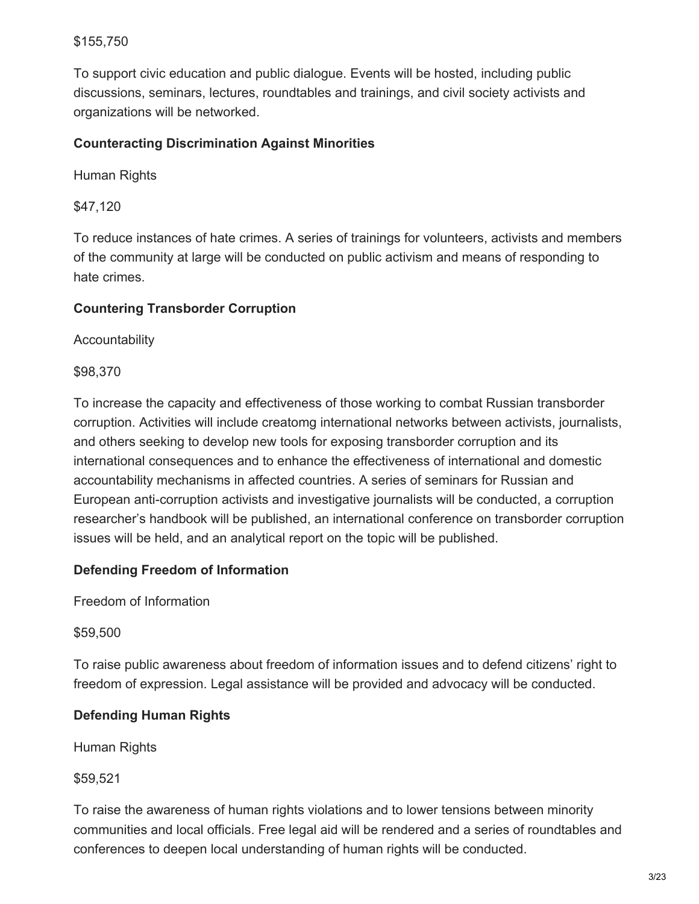## \$155,750

To support civic education and public dialogue. Events will be hosted, including public discussions, seminars, lectures, roundtables and trainings, and civil society activists and organizations will be networked.

## **Counteracting Discrimination Against Minorities**

Human Rights

\$47,120

To reduce instances of hate crimes. A series of trainings for volunteers, activists and members of the community at large will be conducted on public activism and means of responding to hate crimes.

## **Countering Transborder Corruption**

**Accountability** 

\$98,370

To increase the capacity and effectiveness of those working to combat Russian transborder corruption. Activities will include creatomg international networks between activists, journalists, and others seeking to develop new tools for exposing transborder corruption and its international consequences and to enhance the effectiveness of international and domestic accountability mechanisms in affected countries. A series of seminars for Russian and European anti-corruption activists and investigative journalists will be conducted, a corruption researcher's handbook will be published, an international conference on transborder corruption issues will be held, and an analytical report on the topic will be published.

## **Defending Freedom of Information**

Freedom of Information

\$59,500

To raise public awareness about freedom of information issues and to defend citizens' right to freedom of expression. Legal assistance will be provided and advocacy will be conducted.

## **Defending Human Rights**

Human Rights

\$59,521

To raise the awareness of human rights violations and to lower tensions between minority communities and local officials. Free legal aid will be rendered and a series of roundtables and conferences to deepen local understanding of human rights will be conducted.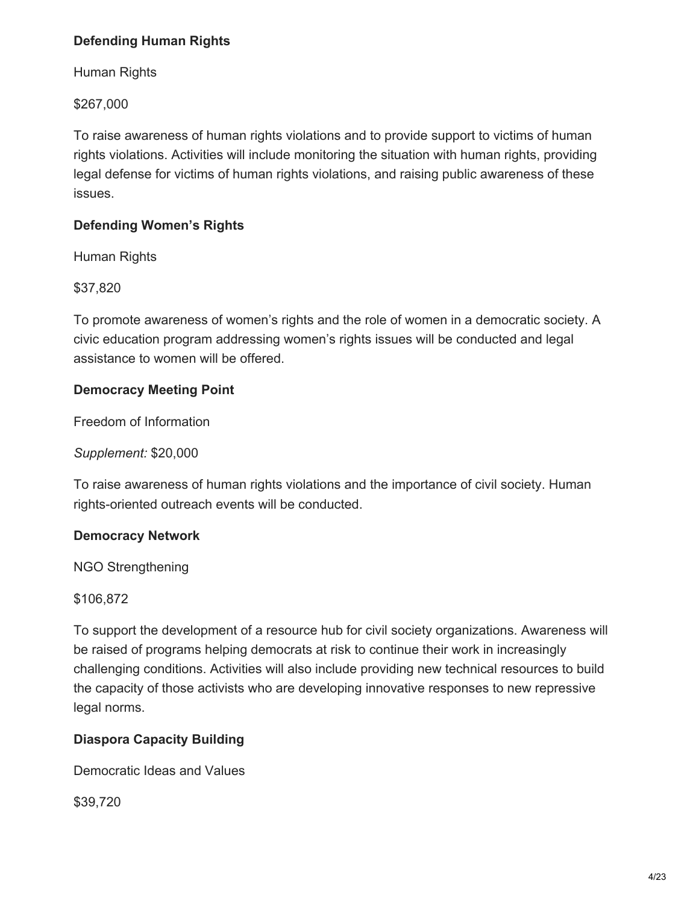# **Defending Human Rights**

Human Rights

\$267,000

To raise awareness of human rights violations and to provide support to victims of human rights violations. Activities will include monitoring the situation with human rights, providing legal defense for victims of human rights violations, and raising public awareness of these issues.

## **Defending Women's Rights**

Human Rights

\$37,820

To promote awareness of women's rights and the role of women in a democratic society. A civic education program addressing women's rights issues will be conducted and legal assistance to women will be offered.

# **Democracy Meeting Point**

Freedom of Information

*Supplement:* \$20,000

To raise awareness of human rights violations and the importance of civil society. Human rights-oriented outreach events will be conducted.

## **Democracy Network**

NGO Strengthening

\$106,872

To support the development of a resource hub for civil society organizations. Awareness will be raised of programs helping democrats at risk to continue their work in increasingly challenging conditions. Activities will also include providing new technical resources to build the capacity of those activists who are developing innovative responses to new repressive legal norms.

## **Diaspora Capacity Building**

Democratic Ideas and Values

\$39,720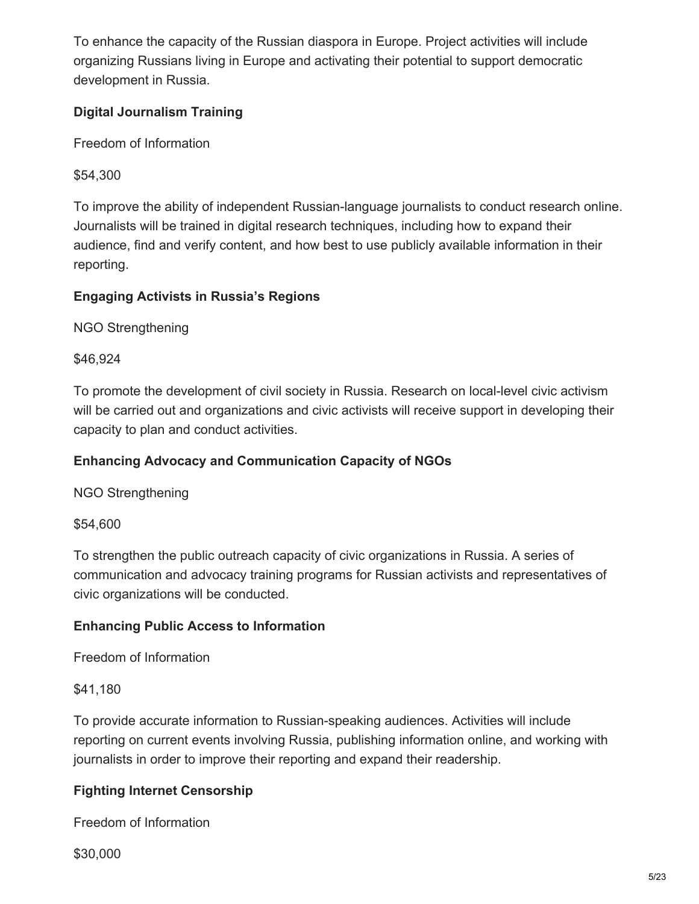To enhance the capacity of the Russian diaspora in Europe. Project activities will include organizing Russians living in Europe and activating their potential to support democratic development in Russia.

## **Digital Journalism Training**

Freedom of Information

\$54,300

To improve the ability of independent Russian-language journalists to conduct research online. Journalists will be trained in digital research techniques, including how to expand their audience, find and verify content, and how best to use publicly available information in their reporting.

# **Engaging Activists in Russia's Regions**

NGO Strengthening

\$46,924

To promote the development of civil society in Russia. Research on local-level civic activism will be carried out and organizations and civic activists will receive support in developing their capacity to plan and conduct activities.

## **Enhancing Advocacy and Communication Capacity of NGOs**

NGO Strengthening

\$54,600

To strengthen the public outreach capacity of civic organizations in Russia. A series of communication and advocacy training programs for Russian activists and representatives of civic organizations will be conducted.

## **Enhancing Public Access to Information**

Freedom of Information

## \$41,180

To provide accurate information to Russian-speaking audiences. Activities will include reporting on current events involving Russia, publishing information online, and working with journalists in order to improve their reporting and expand their readership.

# **Fighting Internet Censorship**

Freedom of Information

\$30,000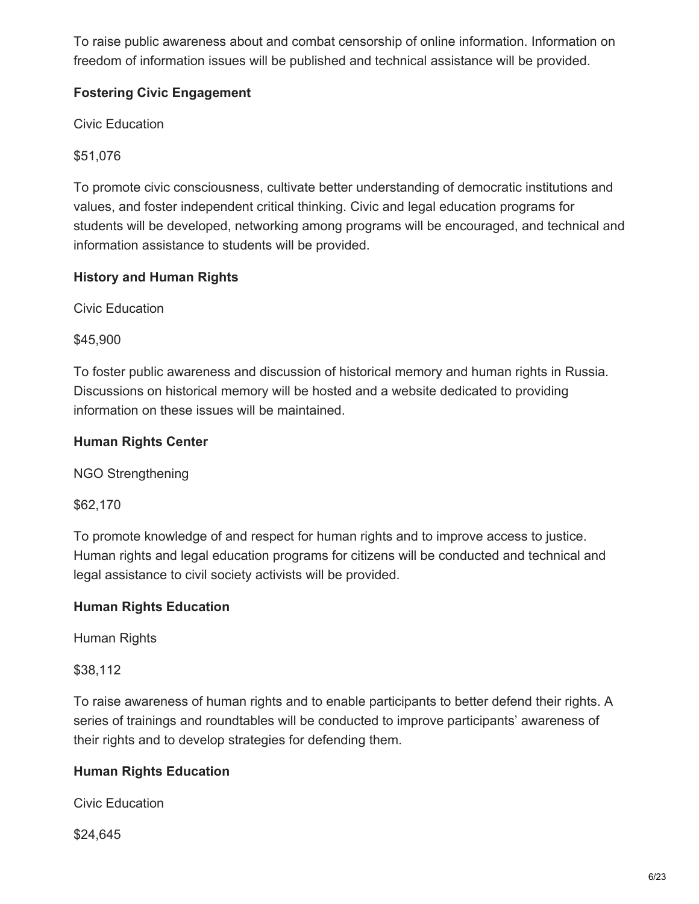To raise public awareness about and combat censorship of online information. Information on freedom of information issues will be published and technical assistance will be provided.

# **Fostering Civic Engagement**

Civic Education

\$51,076

To promote civic consciousness, cultivate better understanding of democratic institutions and values, and foster independent critical thinking. Civic and legal education programs for students will be developed, networking among programs will be encouraged, and technical and information assistance to students will be provided.

# **History and Human Rights**

Civic Education

\$45,900

To foster public awareness and discussion of historical memory and human rights in Russia. Discussions on historical memory will be hosted and a website dedicated to providing information on these issues will be maintained.

# **Human Rights Center**

NGO Strengthening

\$62,170

To promote knowledge of and respect for human rights and to improve access to justice. Human rights and legal education programs for citizens will be conducted and technical and legal assistance to civil society activists will be provided.

## **Human Rights Education**

Human Rights

\$38,112

To raise awareness of human rights and to enable participants to better defend their rights. A series of trainings and roundtables will be conducted to improve participants' awareness of their rights and to develop strategies for defending them.

# **Human Rights Education**

Civic Education

\$24,645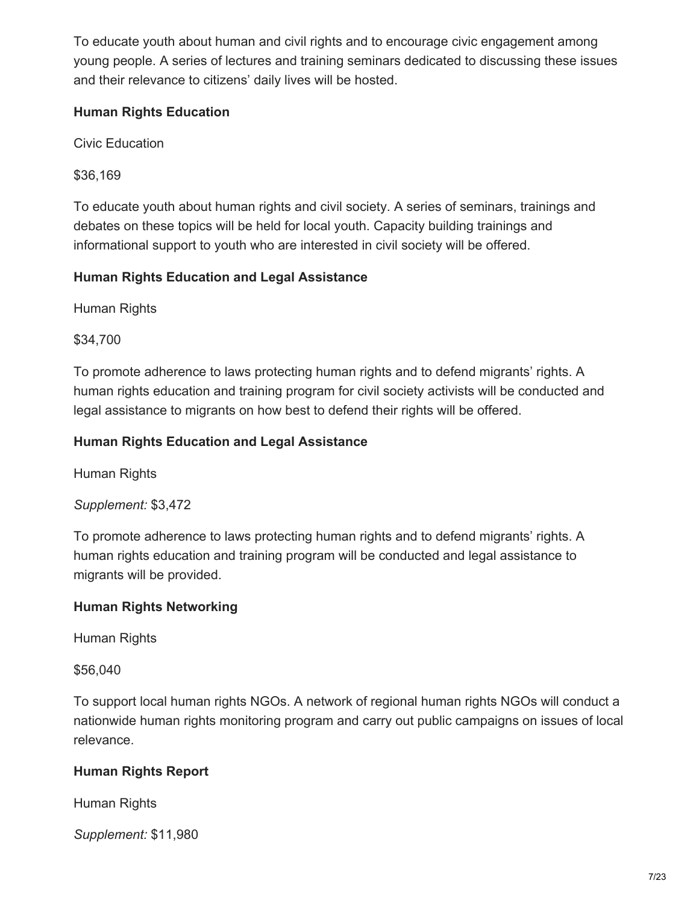To educate youth about human and civil rights and to encourage civic engagement among young people. A series of lectures and training seminars dedicated to discussing these issues and their relevance to citizens' daily lives will be hosted.

## **Human Rights Education**

Civic Education

\$36,169

To educate youth about human rights and civil society. A series of seminars, trainings and debates on these topics will be held for local youth. Capacity building trainings and informational support to youth who are interested in civil society will be offered.

# **Human Rights Education and Legal Assistance**

Human Rights

\$34,700

To promote adherence to laws protecting human rights and to defend migrants' rights. A human rights education and training program for civil society activists will be conducted and legal assistance to migrants on how best to defend their rights will be offered.

# **Human Rights Education and Legal Assistance**

Human Rights

# *Supplement:* \$3,472

To promote adherence to laws protecting human rights and to defend migrants' rights. A human rights education and training program will be conducted and legal assistance to migrants will be provided.

# **Human Rights Networking**

Human Rights

\$56,040

To support local human rights NGOs. A network of regional human rights NGOs will conduct a nationwide human rights monitoring program and carry out public campaigns on issues of local relevance.

# **Human Rights Report**

Human Rights

*Supplement:* \$11,980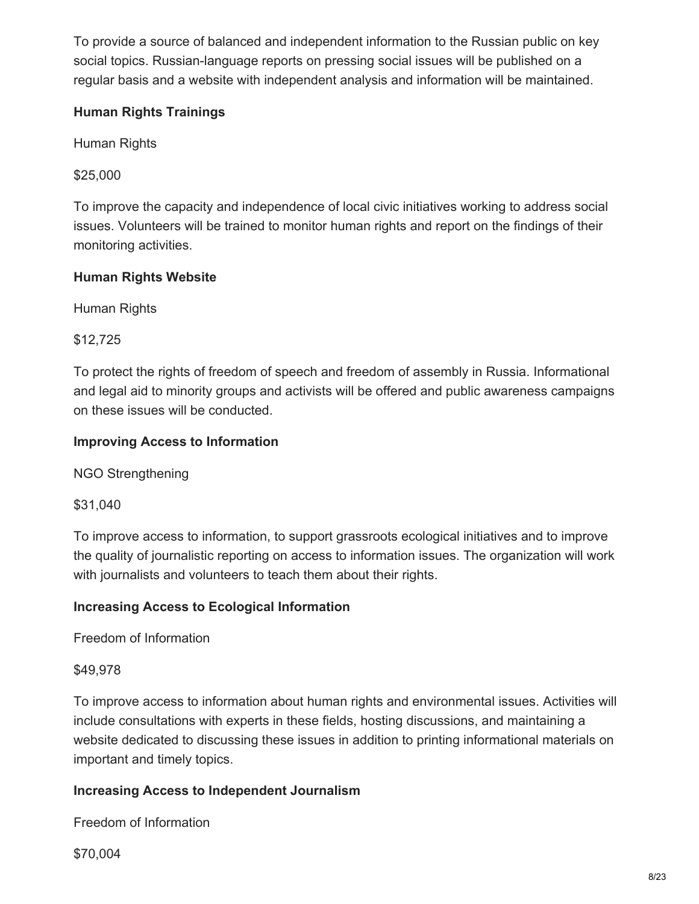To provide a source of balanced and independent information to the Russian public on key social topics. Russian-language reports on pressing social issues will be published on a regular basis and a website with independent analysis and information will be maintained.

## **Human Rights Trainings**

Human Rights

\$25,000

To improve the capacity and independence of local civic initiatives working to address social issues. Volunteers will be trained to monitor human rights and report on the findings of their monitoring activities.

# **Human Rights Website**

Human Rights

\$12,725

To protect the rights of freedom of speech and freedom of assembly in Russia. Informational and legal aid to minority groups and activists will be offered and public awareness campaigns on these issues will be conducted.

## **Improving Access to Information**

NGO Strengthening

\$31,040

To improve access to information, to support grassroots ecological initiatives and to improve the quality of journalistic reporting on access to information issues. The organization will work with journalists and volunteers to teach them about their rights.

## **Increasing Access to Ecological Information**

Freedom of Information

## \$49,978

To improve access to information about human rights and environmental issues. Activities will include consultations with experts in these fields, hosting discussions, and maintaining a website dedicated to discussing these issues in addition to printing informational materials on important and timely topics.

## **Increasing Access to Independent Journalism**

Freedom of Information

\$70,004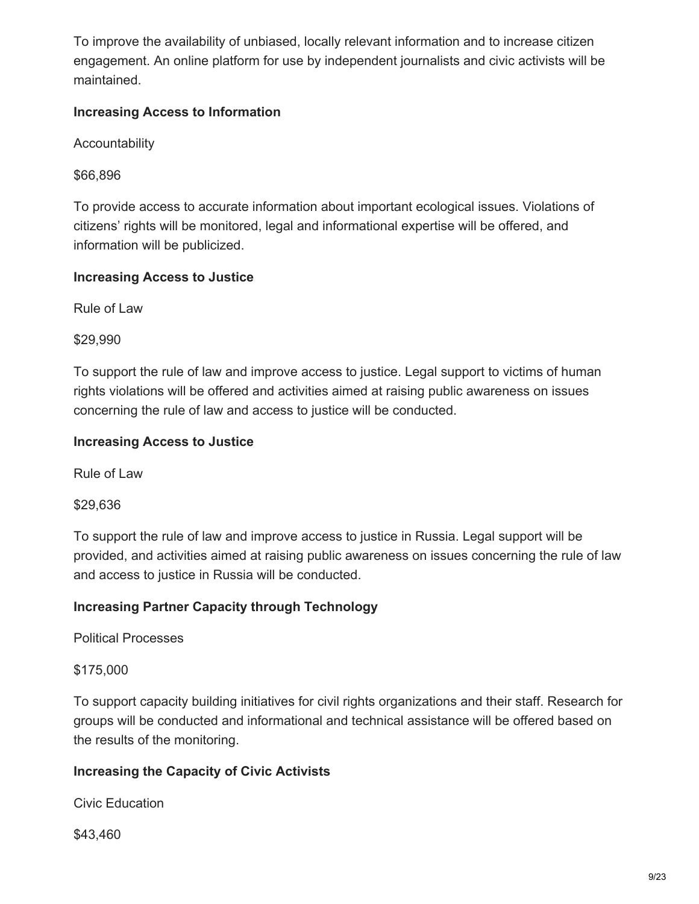To improve the availability of unbiased, locally relevant information and to increase citizen engagement. An online platform for use by independent journalists and civic activists will be maintained.

## **Increasing Access to Information**

Accountability

\$66,896

To provide access to accurate information about important ecological issues. Violations of citizens' rights will be monitored, legal and informational expertise will be offered, and information will be publicized.

## **Increasing Access to Justice**

Rule of Law

\$29,990

To support the rule of law and improve access to justice. Legal support to victims of human rights violations will be offered and activities aimed at raising public awareness on issues concerning the rule of law and access to justice will be conducted.

## **Increasing Access to Justice**

Rule of Law

\$29,636

To support the rule of law and improve access to justice in Russia. Legal support will be provided, and activities aimed at raising public awareness on issues concerning the rule of law and access to justice in Russia will be conducted.

## **Increasing Partner Capacity through Technology**

Political Processes

#### \$175,000

To support capacity building initiatives for civil rights organizations and their staff. Research for groups will be conducted and informational and technical assistance will be offered based on the results of the monitoring.

## **Increasing the Capacity of Civic Activists**

Civic Education

\$43,460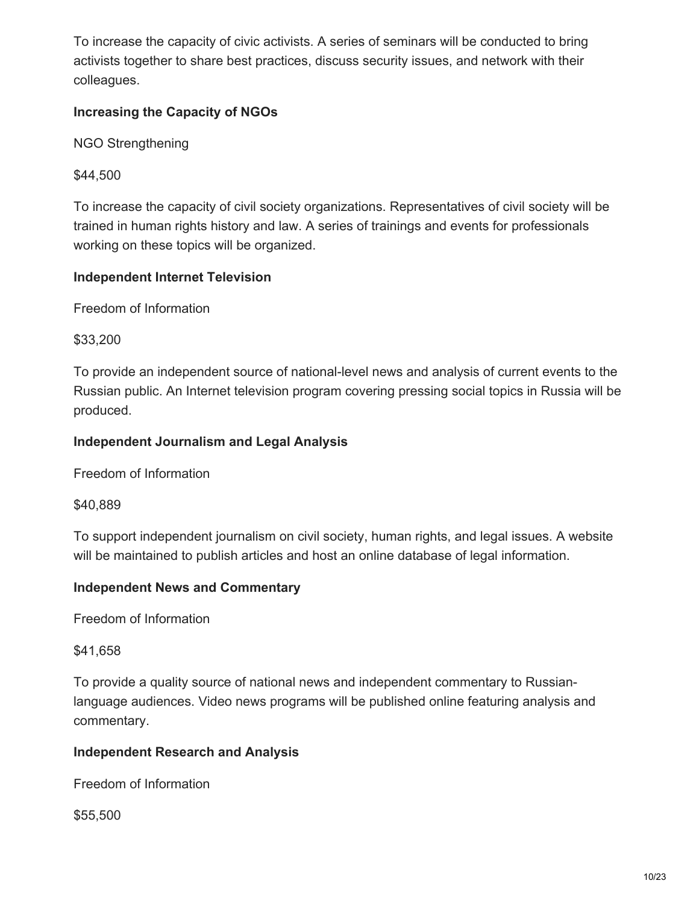To increase the capacity of civic activists. A series of seminars will be conducted to bring activists together to share best practices, discuss security issues, and network with their colleagues.

## **Increasing the Capacity of NGOs**

NGO Strengthening

\$44,500

To increase the capacity of civil society organizations. Representatives of civil society will be trained in human rights history and law. A series of trainings and events for professionals working on these topics will be organized.

## **Independent Internet Television**

Freedom of Information

\$33,200

To provide an independent source of national-level news and analysis of current events to the Russian public. An Internet television program covering pressing social topics in Russia will be produced.

## **Independent Journalism and Legal Analysis**

Freedom of Information

\$40,889

To support independent journalism on civil society, human rights, and legal issues. A website will be maintained to publish articles and host an online database of legal information.

#### **Independent News and Commentary**

Freedom of Information

\$41,658

To provide a quality source of national news and independent commentary to Russianlanguage audiences. Video news programs will be published online featuring analysis and commentary.

## **Independent Research and Analysis**

Freedom of Information

\$55,500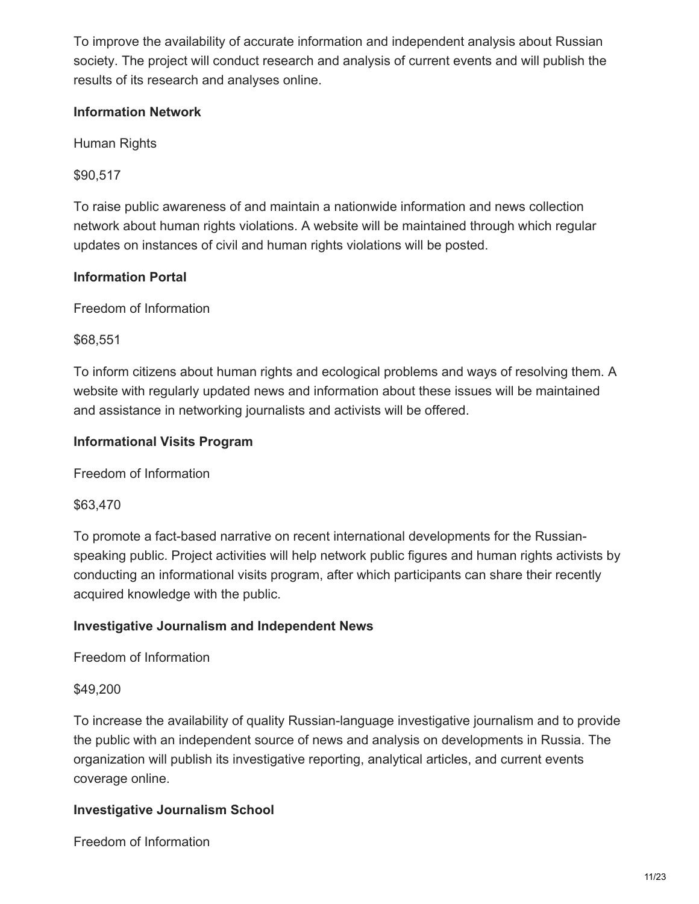To improve the availability of accurate information and independent analysis about Russian society. The project will conduct research and analysis of current events and will publish the results of its research and analyses online.

## **Information Network**

Human Rights

\$90,517

To raise public awareness of and maintain a nationwide information and news collection network about human rights violations. A website will be maintained through which regular updates on instances of civil and human rights violations will be posted.

# **Information Portal**

Freedom of Information

\$68,551

To inform citizens about human rights and ecological problems and ways of resolving them. A website with regularly updated news and information about these issues will be maintained and assistance in networking journalists and activists will be offered.

## **Informational Visits Program**

Freedom of Information

\$63,470

To promote a fact-based narrative on recent international developments for the Russianspeaking public. Project activities will help network public figures and human rights activists by conducting an informational visits program, after which participants can share their recently acquired knowledge with the public.

## **Investigative Journalism and Independent News**

Freedom of Information

## \$49,200

To increase the availability of quality Russian-language investigative journalism and to provide the public with an independent source of news and analysis on developments in Russia. The organization will publish its investigative reporting, analytical articles, and current events coverage online.

## **Investigative Journalism School**

Freedom of Information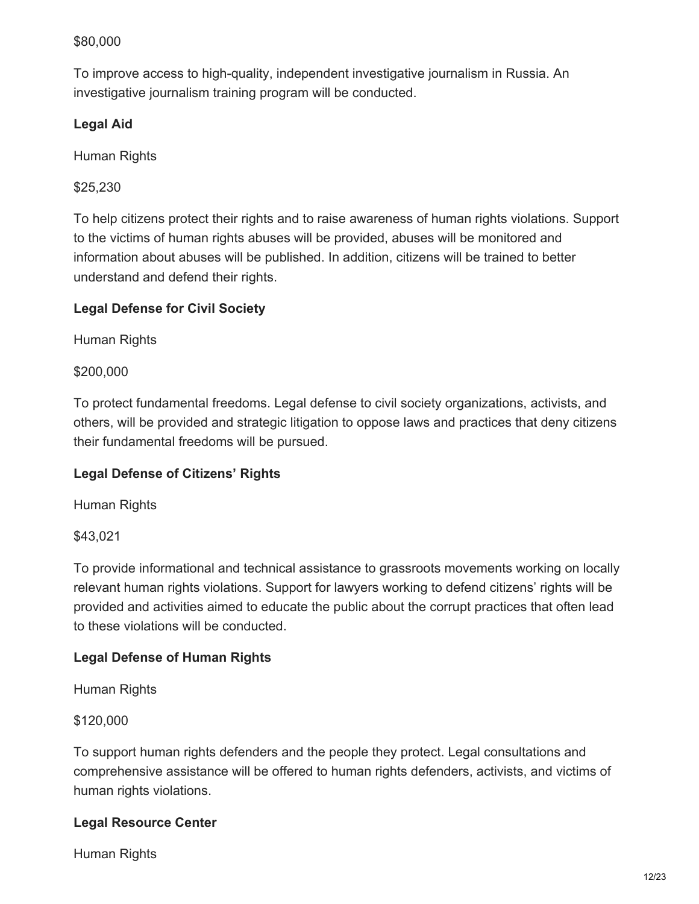## \$80,000

To improve access to high-quality, independent investigative journalism in Russia. An investigative journalism training program will be conducted.

## **Legal Aid**

Human Rights

\$25,230

To help citizens protect their rights and to raise awareness of human rights violations. Support to the victims of human rights abuses will be provided, abuses will be monitored and information about abuses will be published. In addition, citizens will be trained to better understand and defend their rights.

## **Legal Defense for Civil Society**

Human Rights

#### \$200,000

To protect fundamental freedoms. Legal defense to civil society organizations, activists, and others, will be provided and strategic litigation to oppose laws and practices that deny citizens their fundamental freedoms will be pursued.

#### **Legal Defense of Citizens' Rights**

Human Rights

\$43,021

To provide informational and technical assistance to grassroots movements working on locally relevant human rights violations. Support for lawyers working to defend citizens' rights will be provided and activities aimed to educate the public about the corrupt practices that often lead to these violations will be conducted.

## **Legal Defense of Human Rights**

Human Rights

\$120,000

To support human rights defenders and the people they protect. Legal consultations and comprehensive assistance will be offered to human rights defenders, activists, and victims of human rights violations.

#### **Legal Resource Center**

Human Rights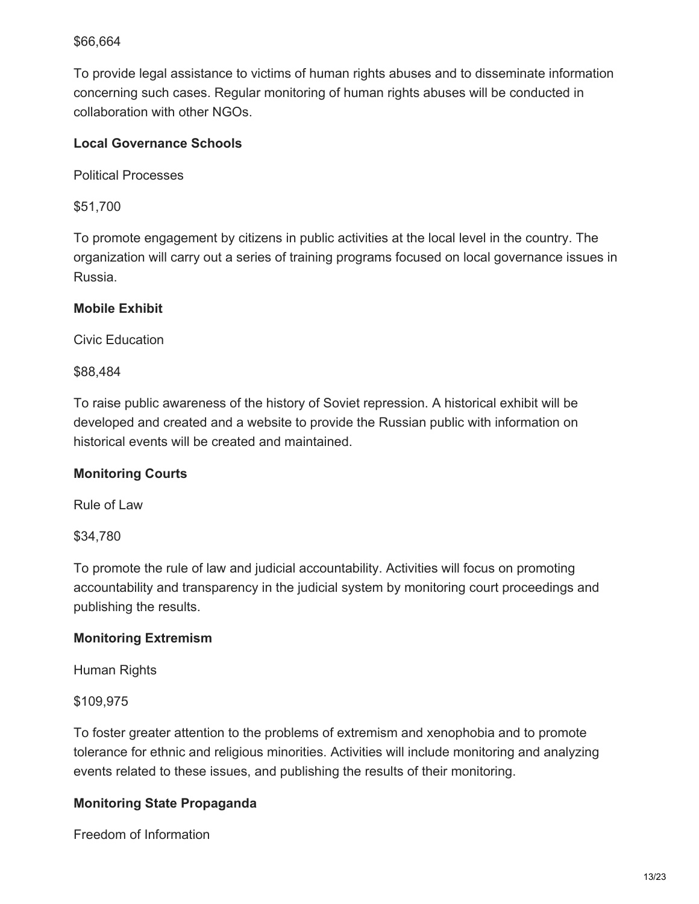#### \$66,664

To provide legal assistance to victims of human rights abuses and to disseminate information concerning such cases. Regular monitoring of human rights abuses will be conducted in collaboration with other NGOs.

## **Local Governance Schools**

Political Processes

\$51,700

To promote engagement by citizens in public activities at the local level in the country. The organization will carry out a series of training programs focused on local governance issues in Russia.

## **Mobile Exhibit**

Civic Education

\$88,484

To raise public awareness of the history of Soviet repression. A historical exhibit will be developed and created and a website to provide the Russian public with information on historical events will be created and maintained.

#### **Monitoring Courts**

Rule of Law

\$34,780

To promote the rule of law and judicial accountability. Activities will focus on promoting accountability and transparency in the judicial system by monitoring court proceedings and publishing the results.

#### **Monitoring Extremism**

Human Rights

\$109,975

To foster greater attention to the problems of extremism and xenophobia and to promote tolerance for ethnic and religious minorities. Activities will include monitoring and analyzing events related to these issues, and publishing the results of their monitoring.

## **Monitoring State Propaganda**

Freedom of Information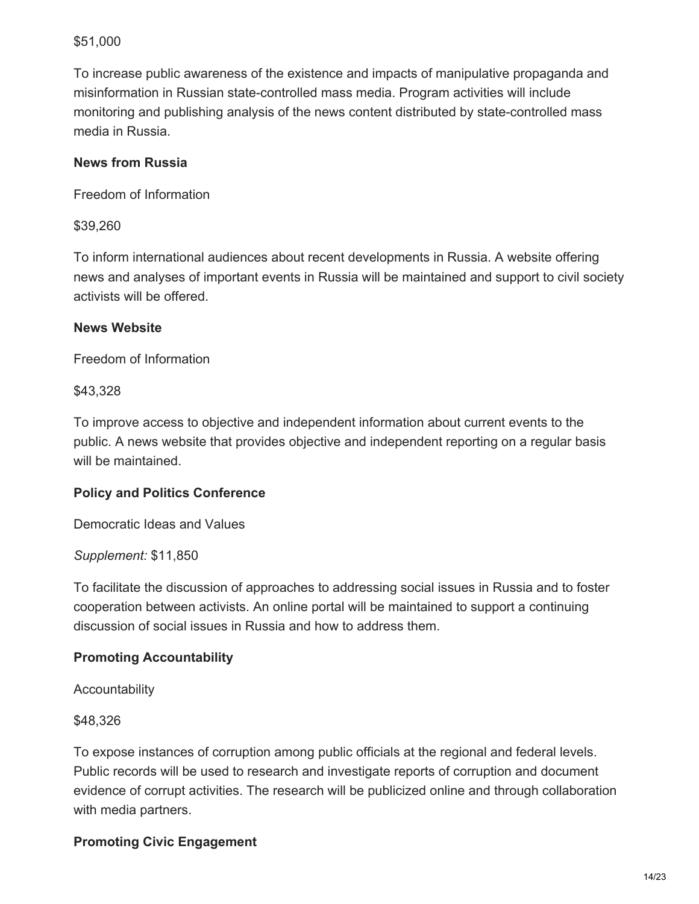#### \$51,000

To increase public awareness of the existence and impacts of manipulative propaganda and misinformation in Russian state-controlled mass media. Program activities will include monitoring and publishing analysis of the news content distributed by state-controlled mass media in Russia.

#### **News from Russia**

Freedom of Information

#### \$39,260

To inform international audiences about recent developments in Russia. A website offering news and analyses of important events in Russia will be maintained and support to civil society activists will be offered.

#### **News Website**

Freedom of Information

\$43,328

To improve access to objective and independent information about current events to the public. A news website that provides objective and independent reporting on a regular basis will be maintained.

## **Policy and Politics Conference**

Democratic Ideas and Values

#### *Supplement:* \$11,850

To facilitate the discussion of approaches to addressing social issues in Russia and to foster cooperation between activists. An online portal will be maintained to support a continuing discussion of social issues in Russia and how to address them.

## **Promoting Accountability**

Accountability

\$48,326

To expose instances of corruption among public officials at the regional and federal levels. Public records will be used to research and investigate reports of corruption and document evidence of corrupt activities. The research will be publicized online and through collaboration with media partners.

# **Promoting Civic Engagement**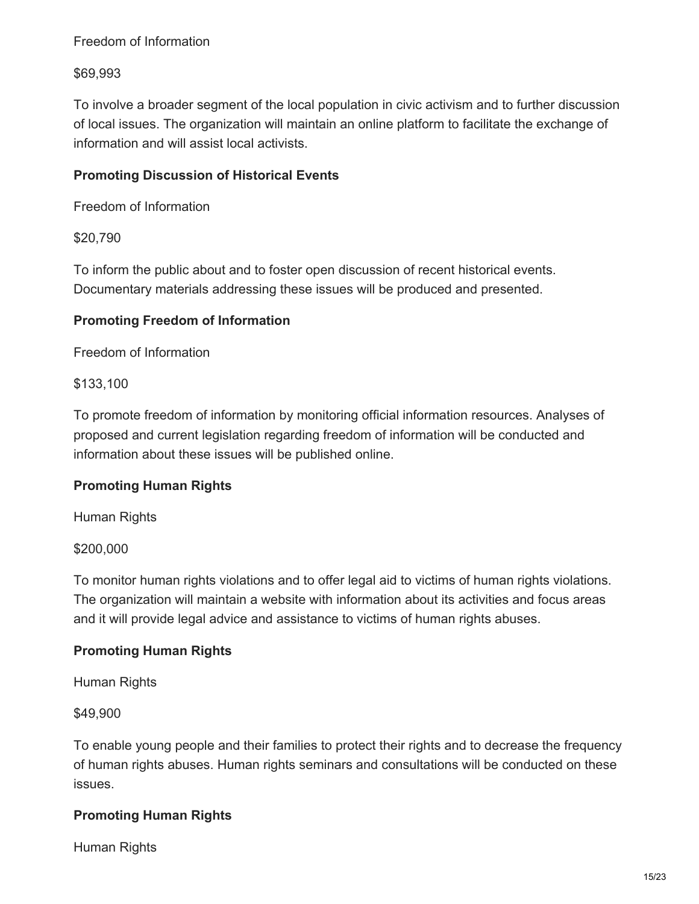## Freedom of Information

## \$69,993

To involve a broader segment of the local population in civic activism and to further discussion of local issues. The organization will maintain an online platform to facilitate the exchange of information and will assist local activists.

## **Promoting Discussion of Historical Events**

Freedom of Information

\$20,790

To inform the public about and to foster open discussion of recent historical events. Documentary materials addressing these issues will be produced and presented.

## **Promoting Freedom of Information**

Freedom of Information

\$133,100

To promote freedom of information by monitoring official information resources. Analyses of proposed and current legislation regarding freedom of information will be conducted and information about these issues will be published online.

## **Promoting Human Rights**

Human Rights

#### \$200,000

To monitor human rights violations and to offer legal aid to victims of human rights violations. The organization will maintain a website with information about its activities and focus areas and it will provide legal advice and assistance to victims of human rights abuses.

#### **Promoting Human Rights**

Human Rights

\$49,900

To enable young people and their families to protect their rights and to decrease the frequency of human rights abuses. Human rights seminars and consultations will be conducted on these issues.

## **Promoting Human Rights**

Human Rights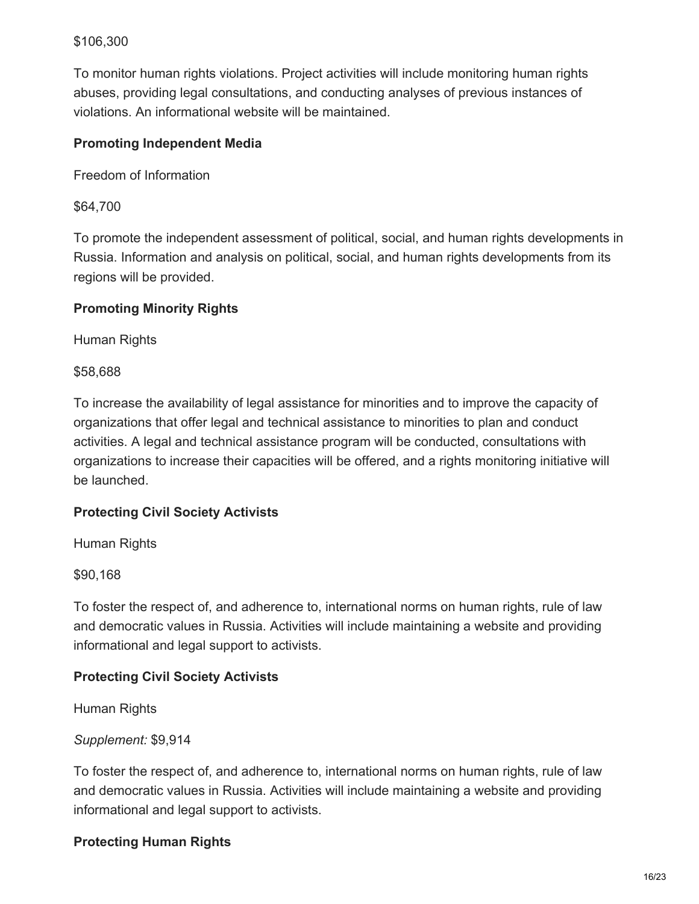#### \$106,300

To monitor human rights violations. Project activities will include monitoring human rights abuses, providing legal consultations, and conducting analyses of previous instances of violations. An informational website will be maintained.

## **Promoting Independent Media**

Freedom of Information

\$64,700

To promote the independent assessment of political, social, and human rights developments in Russia. Information and analysis on political, social, and human rights developments from its regions will be provided.

## **Promoting Minority Rights**

Human Rights

\$58,688

To increase the availability of legal assistance for minorities and to improve the capacity of organizations that offer legal and technical assistance to minorities to plan and conduct activities. A legal and technical assistance program will be conducted, consultations with organizations to increase their capacities will be offered, and a rights monitoring initiative will be launched.

## **Protecting Civil Society Activists**

Human Rights

\$90,168

To foster the respect of, and adherence to, international norms on human rights, rule of law and democratic values in Russia. Activities will include maintaining a website and providing informational and legal support to activists.

## **Protecting Civil Society Activists**

Human Rights

## *Supplement:* \$9,914

To foster the respect of, and adherence to, international norms on human rights, rule of law and democratic values in Russia. Activities will include maintaining a website and providing informational and legal support to activists.

## **Protecting Human Rights**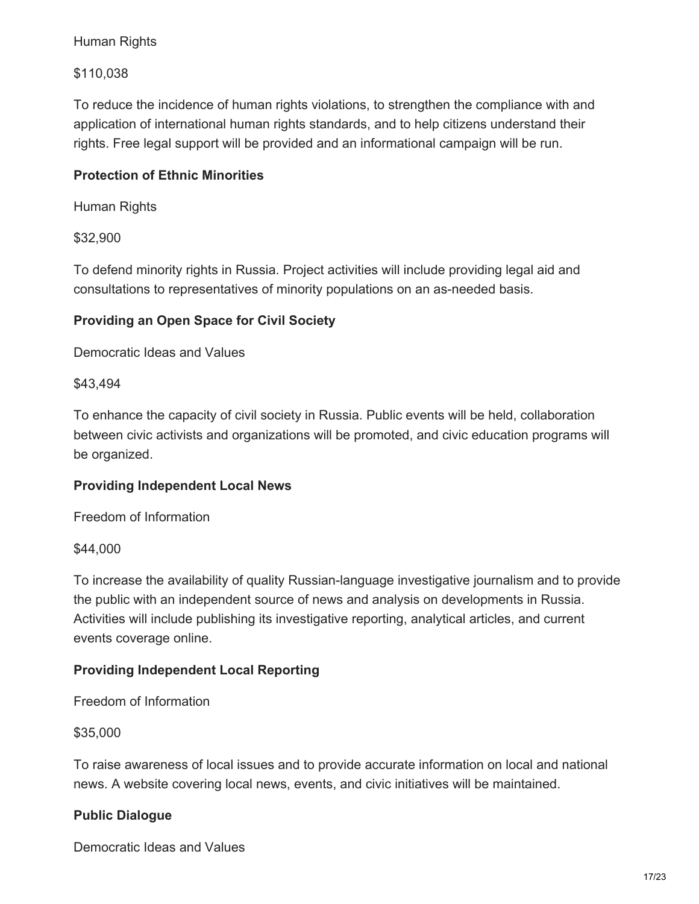#### Human Rights

\$110,038

To reduce the incidence of human rights violations, to strengthen the compliance with and application of international human rights standards, and to help citizens understand their rights. Free legal support will be provided and an informational campaign will be run.

## **Protection of Ethnic Minorities**

Human Rights

\$32,900

To defend minority rights in Russia. Project activities will include providing legal aid and consultations to representatives of minority populations on an as-needed basis.

## **Providing an Open Space for Civil Society**

Democratic Ideas and Values

\$43,494

To enhance the capacity of civil society in Russia. Public events will be held, collaboration between civic activists and organizations will be promoted, and civic education programs will be organized.

#### **Providing Independent Local News**

Freedom of Information

\$44,000

To increase the availability of quality Russian-language investigative journalism and to provide the public with an independent source of news and analysis on developments in Russia. Activities will include publishing its investigative reporting, analytical articles, and current events coverage online.

## **Providing Independent Local Reporting**

Freedom of Information

\$35,000

To raise awareness of local issues and to provide accurate information on local and national news. A website covering local news, events, and civic initiatives will be maintained.

#### **Public Dialogue**

Democratic Ideas and Values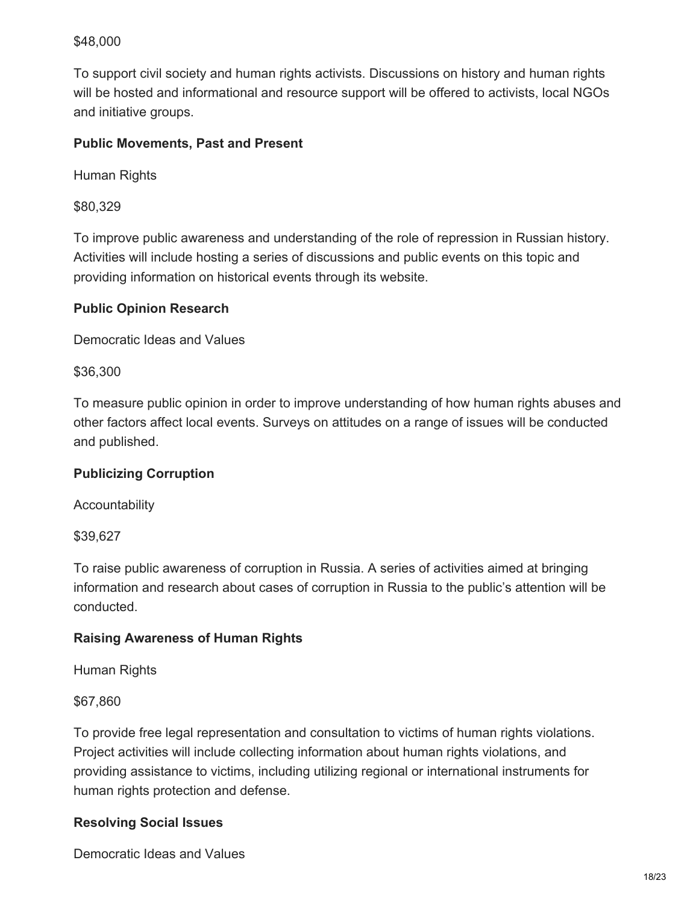## \$48,000

To support civil society and human rights activists. Discussions on history and human rights will be hosted and informational and resource support will be offered to activists, local NGOs and initiative groups.

#### **Public Movements, Past and Present**

Human Rights

\$80,329

To improve public awareness and understanding of the role of repression in Russian history. Activities will include hosting a series of discussions and public events on this topic and providing information on historical events through its website.

#### **Public Opinion Research**

Democratic Ideas and Values

\$36,300

To measure public opinion in order to improve understanding of how human rights abuses and other factors affect local events. Surveys on attitudes on a range of issues will be conducted and published.

#### **Publicizing Corruption**

Accountability

\$39,627

To raise public awareness of corruption in Russia. A series of activities aimed at bringing information and research about cases of corruption in Russia to the public's attention will be conducted.

#### **Raising Awareness of Human Rights**

Human Rights

\$67,860

To provide free legal representation and consultation to victims of human rights violations. Project activities will include collecting information about human rights violations, and providing assistance to victims, including utilizing regional or international instruments for human rights protection and defense.

#### **Resolving Social Issues**

Democratic Ideas and Values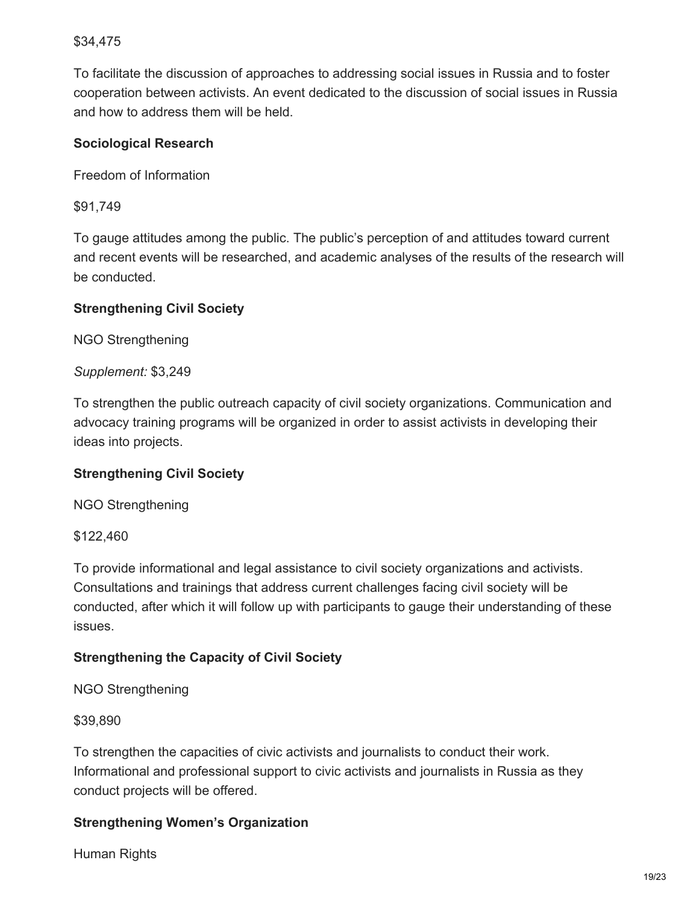## \$34,475

To facilitate the discussion of approaches to addressing social issues in Russia and to foster cooperation between activists. An event dedicated to the discussion of social issues in Russia and how to address them will be held.

#### **Sociological Research**

Freedom of Information

\$91,749

To gauge attitudes among the public. The public's perception of and attitudes toward current and recent events will be researched, and academic analyses of the results of the research will be conducted.

#### **Strengthening Civil Society**

NGO Strengthening

*Supplement:* \$3,249

To strengthen the public outreach capacity of civil society organizations. Communication and advocacy training programs will be organized in order to assist activists in developing their ideas into projects.

#### **Strengthening Civil Society**

NGO Strengthening

\$122,460

To provide informational and legal assistance to civil society organizations and activists. Consultations and trainings that address current challenges facing civil society will be conducted, after which it will follow up with participants to gauge their understanding of these issues.

#### **Strengthening the Capacity of Civil Society**

#### NGO Strengthening

\$39,890

To strengthen the capacities of civic activists and journalists to conduct their work. Informational and professional support to civic activists and journalists in Russia as they conduct projects will be offered.

#### **Strengthening Women's Organization**

Human Rights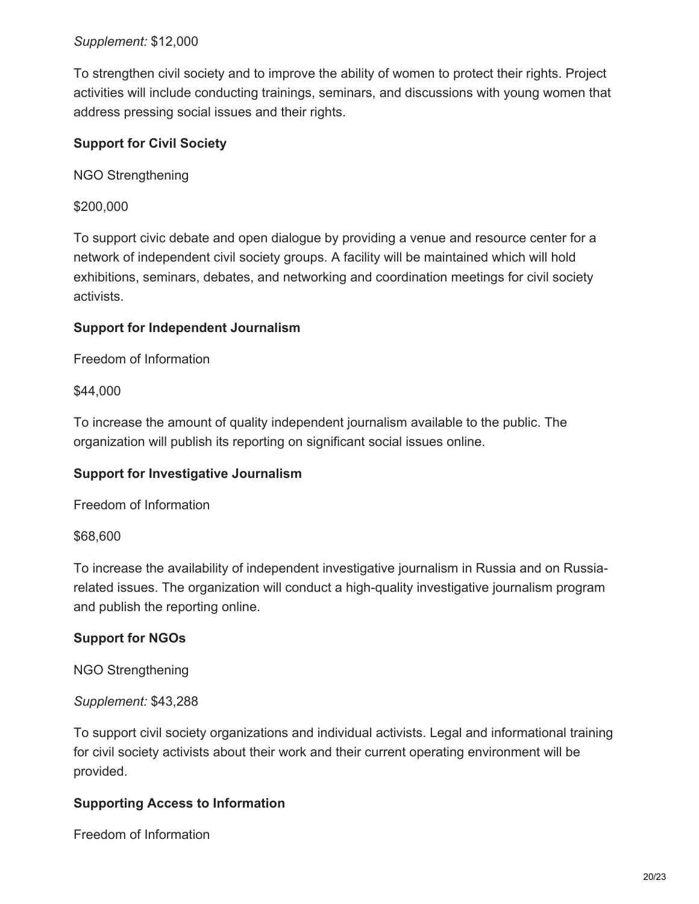#### *Supplement:* \$12,000

To strengthen civil society and to improve the ability of women to protect their rights. Project activities will include conducting trainings, seminars, and discussions with young women that address pressing social issues and their rights.

## **Support for Civil Society**

NGO Strengthening

\$200,000

To support civic debate and open dialogue by providing a venue and resource center for a network of independent civil society groups. A facility will be maintained which will hold exhibitions, seminars, debates, and networking and coordination meetings for civil society activists.

#### **Support for Independent Journalism**

Freedom of Information

\$44,000

To increase the amount of quality independent journalism available to the public. The organization will publish its reporting on significant social issues online.

#### **Support for Investigative Journalism**

Freedom of Information

\$68,600

To increase the availability of independent investigative journalism in Russia and on Russiarelated issues. The organization will conduct a high-quality investigative journalism program and publish the reporting online.

#### **Support for NGOs**

NGO Strengthening

*Supplement:* \$43,288

To support civil society organizations and individual activists. Legal and informational training for civil society activists about their work and their current operating environment will be provided.

#### **Supporting Access to Information**

Freedom of Information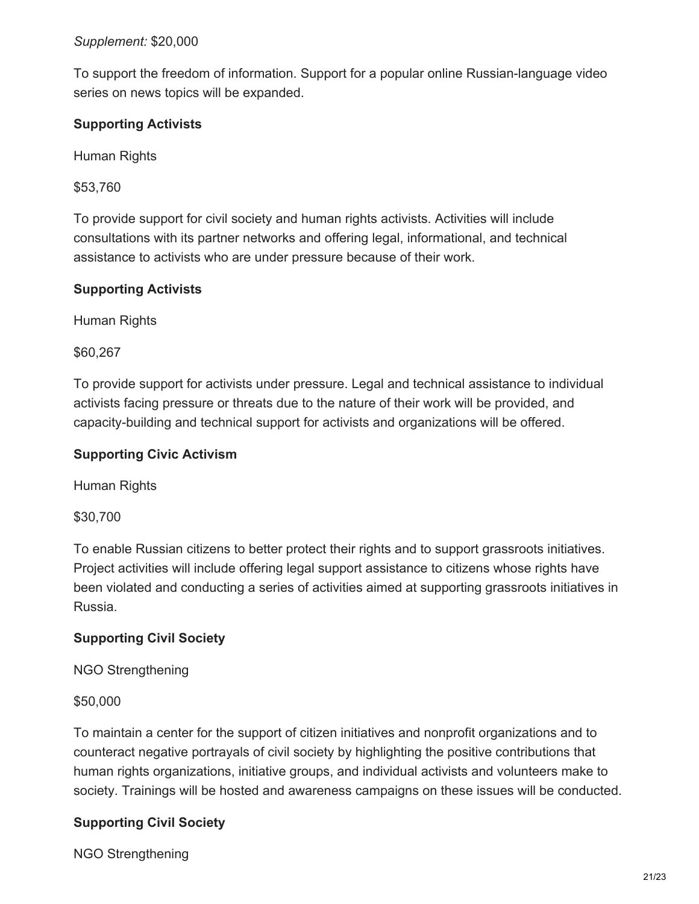#### *Supplement:* \$20,000

To support the freedom of information. Support for a popular online Russian-language video series on news topics will be expanded.

## **Supporting Activists**

Human Rights

\$53,760

To provide support for civil society and human rights activists. Activities will include consultations with its partner networks and offering legal, informational, and technical assistance to activists who are under pressure because of their work.

## **Supporting Activists**

Human Rights

\$60,267

To provide support for activists under pressure. Legal and technical assistance to individual activists facing pressure or threats due to the nature of their work will be provided, and capacity-building and technical support for activists and organizations will be offered.

## **Supporting Civic Activism**

Human Rights

\$30,700

To enable Russian citizens to better protect their rights and to support grassroots initiatives. Project activities will include offering legal support assistance to citizens whose rights have been violated and conducting a series of activities aimed at supporting grassroots initiatives in Russia.

## **Supporting Civil Society**

NGO Strengthening

\$50,000

To maintain a center for the support of citizen initiatives and nonprofit organizations and to counteract negative portrayals of civil society by highlighting the positive contributions that human rights organizations, initiative groups, and individual activists and volunteers make to society. Trainings will be hosted and awareness campaigns on these issues will be conducted.

# **Supporting Civil Society**

NGO Strengthening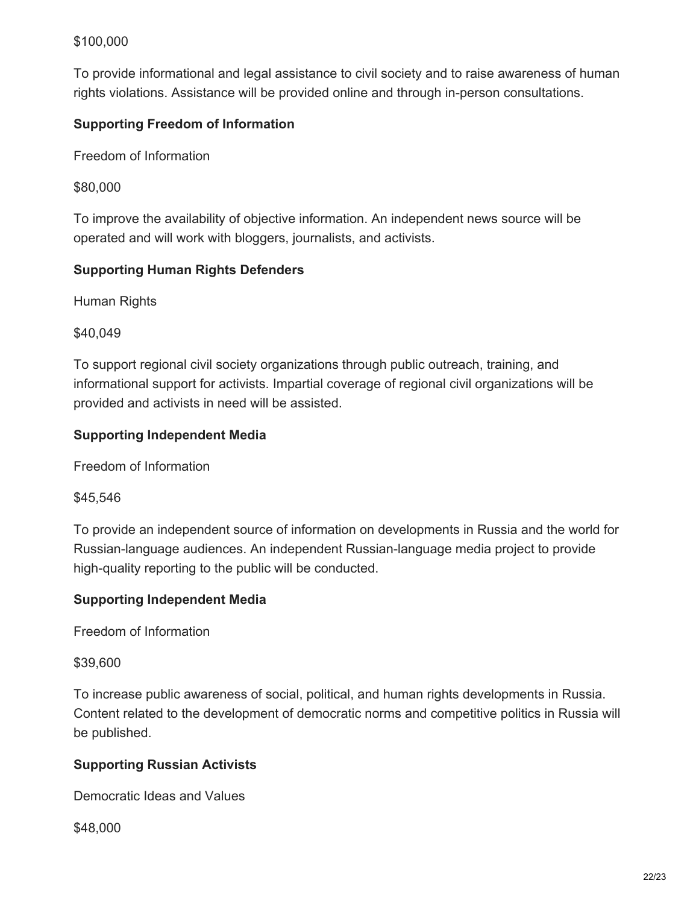## \$100,000

To provide informational and legal assistance to civil society and to raise awareness of human rights violations. Assistance will be provided online and through in-person consultations.

## **Supporting Freedom of Information**

Freedom of Information

\$80,000

To improve the availability of objective information. An independent news source will be operated and will work with bloggers, journalists, and activists.

## **Supporting Human Rights Defenders**

Human Rights

\$40,049

To support regional civil society organizations through public outreach, training, and informational support for activists. Impartial coverage of regional civil organizations will be provided and activists in need will be assisted.

## **Supporting Independent Media**

Freedom of Information

\$45,546

To provide an independent source of information on developments in Russia and the world for Russian-language audiences. An independent Russian-language media project to provide high-quality reporting to the public will be conducted.

## **Supporting Independent Media**

Freedom of Information

\$39,600

To increase public awareness of social, political, and human rights developments in Russia. Content related to the development of democratic norms and competitive politics in Russia will be published.

## **Supporting Russian Activists**

Democratic Ideas and Values

\$48,000